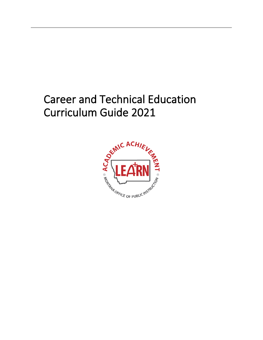# Career and Technical Education Curriculum Guide 2021

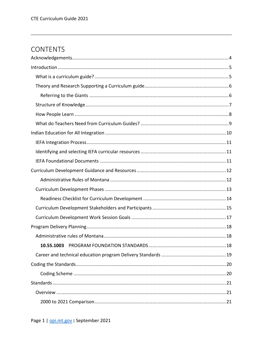# **CONTENTS**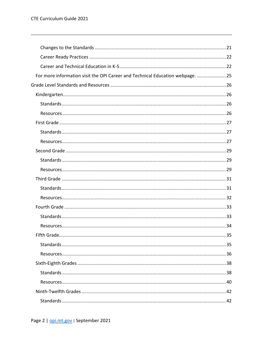| For more information visit the OPI Career and Technical Education webpage. 25 |  |
|-------------------------------------------------------------------------------|--|
|                                                                               |  |
|                                                                               |  |
|                                                                               |  |
|                                                                               |  |
|                                                                               |  |
|                                                                               |  |
|                                                                               |  |
|                                                                               |  |
|                                                                               |  |
|                                                                               |  |
|                                                                               |  |
|                                                                               |  |
|                                                                               |  |
|                                                                               |  |
|                                                                               |  |
|                                                                               |  |
|                                                                               |  |
|                                                                               |  |
|                                                                               |  |
|                                                                               |  |
|                                                                               |  |
|                                                                               |  |
|                                                                               |  |
|                                                                               |  |
|                                                                               |  |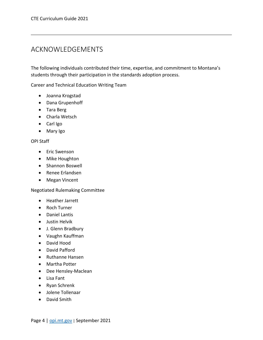# <span id="page-4-0"></span>ACKNOWLEDGEMENTS

The following individuals contributed their time, expertise, and commitment to Montana's students through their participation in the standards adoption process.

Career and Technical Education Writing Team

- Joanna Krogstad
- Dana Grupenhoff
- Tara Berg
- Charla Wetsch
- Carl Igo
- Mary Igo

#### OPI Staff

- Eric Swenson
- Mike Houghton
- Shannon Boswell
- Renee Erlandsen
- Megan Vincent

#### Negotiated Rulemaking Committee

- Heather Jarrett
- Roch Turner
- Daniel Lantis
- Justin Helvik
- J. Glenn Bradbury
- Vaughn Kauffman
- David Hood
- David Pafford
- Ruthanne Hansen
- Martha Potter
- Dee Hensley-Maclean
- Lisa Fant
- Ryan Schrenk
- Jolene Tollenaar
- David Smith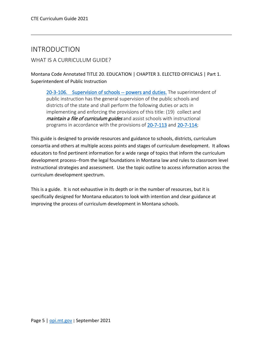# <span id="page-5-0"></span>INTRODUCTION

# <span id="page-5-1"></span>WHAT IS A CURRICULUM GUIDE?

Montana Code Annotated TITLE 20. EDUCATION | CHAPTER 3. ELECTED OFFICIALS | Part 1. Superintendent of Public Instruction

[20-3-106. Supervision of schools -- powers and duties.](https://leg.mt.gov/bills/mca/title_0200/chapter_0030/part_0010/section_0060/0200-0030-0010-0060.html) The superintendent of public instruction has the general supervision of the public schools and districts of the state and shall perform the following duties or acts in implementing and enforcing the provisions of this title: (19) collect and maintain a file of curriculum guides and assist schools with instructional programs in accordance with the provisions of [20-7-113](https://leg.mt.gov/bills/mca/title_0200/chapter_0070/part_0010/section_0130/0200-0070-0010-0130.html) and [20-7-114;](https://leg.mt.gov/bills/mca/title_0200/chapter_0070/part_0010/section_0140/0200-0070-0010-0140.html)

This guide is designed to provide resources and guidance to schools, districts, curriculum consortia and others at multiple access points and stages of curriculum development. It allows educators to find pertinent information for a wide range of topics that inform the curriculum development process--from the legal foundations in Montana law and rules to classroom level instructional strategies and assessment. Use the topic outline to access information across the curriculum development spectrum.

This is a guide. It is not exhaustive in its depth or in the number of resources, but it is specifically designed for Montana educators to look with intention and clear guidance at improving the process of curriculum development in Montana schools.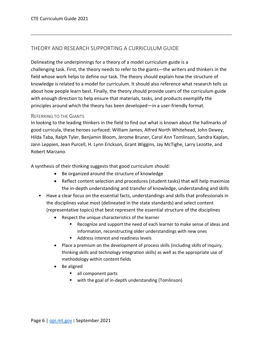# <span id="page-6-0"></span>THEORY AND RESEARCH SUPPORTING A CURRICULUM GUIDE

Delineating the underpinnings for a theory of a model curriculum guide is a challenging task. First, the theory needs to refer to the giants—the writers and thinkers in the field whose work helps to define our task. The theory should explain how the structure of knowledge is related to a model for curriculum. It should also reference what research tells us about how people learn best. Finally, the theory should provide users of the curriculum guide with enough direction to help ensure that materials, tasks, and products exemplify the principles around which the theory has been developed—in a user-friendly format.

#### <span id="page-6-1"></span>REFERRING TO THE GIANTS

In looking to the leading thinkers in the field to find out what is known about the hallmarks of good curricula, these heroes surfaced: William James, Alfred North Whitehead, John Dewey, Hilda Taba, Ralph Tyler, Benjamin Bloom, Jerome Bruner, Carol Ann Tomlinson, Sandra Kaplan, Jann Leppien, Jean Purcell, H. Lynn Erickson, Grant Wiggins, Jay McTighe, Larry Lezotte, and Robert Marzano.

A synthesis of their thinking suggests that good curriculum should:

- Be organized around the structure of knowledge
- Reflect content selection and procedures (student tasks) that will help maximize the in-depth understanding and transfer of knowledge, understanding and skills
- Have a clear focus on the essential facts, understandings and skills that professionals in the disciplines value most (delineated in the state standards) and select content (representative topics) that best represent the essential structure of the disciplines
	- Respect the unique characteristics of the learner
		- Recognize and support the need of each learner to make sense of ideas and information, reconstructing older understandings with new ones
		- Address interest and readiness levels
	- Place a premium on the development of process skills (including skills of inquiry, thinking skills and technology integration skills) as well as the appropriate use of methodology within content fields
	- Be aligned
		- all component parts
		- with the goal of in-depth understanding (Tomlinson)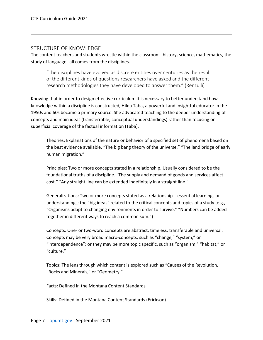#### <span id="page-7-0"></span>STRUCTURE OF KNOWLEDGE

The content teachers and students wrestle within the classroom--history, science, mathematics, the study of language--all comes from the disciplines.

"The disciplines have evolved as discrete entities over centuries as the result of the different kinds of questions researchers have asked and the different research methodologies they have developed to answer them." (Renzulli)

Knowing that in order to design effective curriculum it is necessary to better understand how knowledge within a discipline is constructed, Hilda Taba, a powerful and insightful educator in the 1950s and 60s became a primary source. She advocated teaching to the deeper understanding of concepts and main ideas (transferrable, conceptual understandings) rather than focusing on superficial coverage of the factual information (Taba).

Theories: Explanations of the nature or behavior of a specified set of phenomena based on the best evidence available. "The big bang theory of the universe." "The land bridge of early human migration."

Principles: Two or more concepts stated in a relationship. Usually considered to be the foundational truths of a discipline. "The supply and demand of goods and services affect cost." "Any straight line can be extended indefinitely in a straight line."

Generalizations: Two or more concepts stated as a relationship – essential learnings or understandings; the "big ideas" related to the critical concepts and topics of a study (e.g., "Organisms adapt to changing environments in order to survive." "Numbers can be added together in different ways to reach a common sum.")

Concepts: One- or two-word concepts are abstract, timeless, transferable and universal. Concepts may be very broad macro-concepts, such as "change," "system," or "interdependence"; or they may be more topic specific, such as "organism," "habitat," or "culture."

Topics: The lens through which content is explored such as "Causes of the Revolution, "Rocks and Minerals," or "Geometry."

Facts: Defined in the Montana Content Standards

Skills: Defined in the Montana Content Standards (Erickson)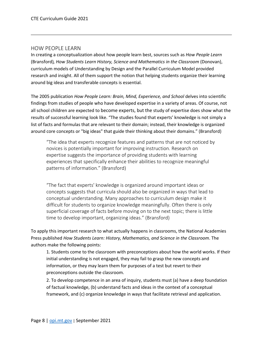#### <span id="page-8-0"></span>HOW PEOPLE LEARN

In creating a conceptualization about how people learn best, sources such as *How People Learn*  (Bransford)*, How Students Learn History, Science and Mathematics in the Classroom* (Donovan), curriculum models of Understanding by Design and the Parallel Curriculum Model provided research and insight. All of them support the notion that helping students organize their learning around big ideas and transferable concepts is essential.

The 2005 publication *How People Learn: Brain, Mind, Experience, and School* delves into scientific findings from studies of people who have developed expertise in a variety of areas. Of course, not all school children are expected to become experts, but the study of expertise does show what the results of successful learning look like. "The studies found that experts' knowledge is not simply a list of facts and formulas that are relevant to their domain; instead, their knowledge is organized around core concepts or "big ideas" that guide their thinking about their domains." (Bransford)

"The idea that experts recognize features and patterns that are not noticed by novices is potentially important for improving instruction. Research on expertise suggests the importance of providing students with learning experiences that specifically enhance their abilities to recognize meaningful patterns of information." (Bransford)

"The fact that experts' knowledge is organized around important ideas or concepts suggests that curricula should also be organized in ways that lead to conceptual understanding. Many approaches to curriculum design make it difficult for students to organize knowledge meaningfully. Often there is only superficial coverage of facts before moving on to the next topic; there is little time to develop important, organizing ideas." (Bransford)

To apply this important research to what actually happens in classrooms, the National Academies Press published *How Students Learn: History, Mathematics, and Science in the Classroom*. The authors make the following points:

1. Students come to the classroom with preconceptions about how the world works. If their initial understanding is not engaged, they may fail to grasp the new concepts and information, or they may learn them for purposes of a test but revert to their preconceptions outside the classroom.

2. To develop competence in an area of inquiry, students must (a) have a deep foundation of factual knowledge, (b) understand facts and ideas in the context of a conceptual framework, and (c) organize knowledge in ways that facilitate retrieval and application.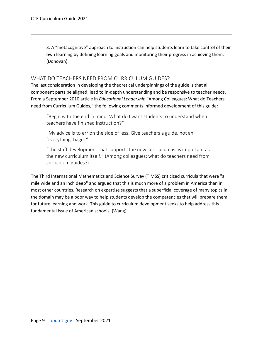3. A "metacognitive" approach to instruction can help students learn to take control of their own learning by defining learning goals and monitoring their progress in achieving them. (Donovan)

### <span id="page-9-0"></span>WHAT DO TEACHERS NEED FROM CURRICULUM GUIDES?

The last consideration in developing the theoretical underpinnings of the guide is that all component parts be aligned, lead to in-depth understanding and be responsive to teacher needs. From a September 2010 article in *Educational Leadership* "Among Colleagues: What do Teachers need from Curriculum Guides," the following comments informed development of this guide:

"Begin with the end in mind. What do I want students to understand when teachers have finished instruction?"

"My advice is to err on the side of less. Give teachers a guide, not an 'everything' bagel."

"The staff development that supports the new curriculum is as important as the new curriculum itself." (Among colleagues: what do teachers need from curriculum guides?)

The Third International Mathematics and Science Survey (TIMSS) criticized curricula that were "a mile wide and an inch deep" and argued that this is much more of a problem in America than in most other countries. Research on expertise suggests that a superficial coverage of many topics in the domain may be a poor way to help students develop the competencies that will prepare them for future learning and work. This guide to curriculum development seeks to help address this fundamental issue of American schools. (Wang)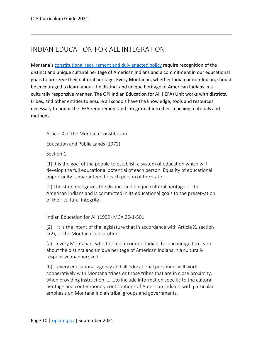# <span id="page-10-0"></span>INDIAN EDUCATION FOR ALL INTEGRATION

Montana's [constitutional requirement and duly enacted policy](http://opi.mt.gov/Portals/182/Page%20Files/Indian%20Education/Indian%20Education%20101/ArticleX_IEFA.pdf) require recognition of the distinct and unique cultural heritage of American Indians and a commitment in our educational goals to preserve their cultural heritage. Every Montanan, whether Indian or non-Indian, should be encouraged to learn about the distinct and unique heritage of American Indians in a culturally responsive manner. The OPI Indian Education for All (IEFA) Unit works with districts, tribes, and other entities to ensure all schools have the knowledge, tools and resources necessary to honor the IEFA requirement and integrate it into their teaching materials and methods.

Article X of the Montana Constitution

Education and Public Lands (1972)

Section 1

(1) It is the goal of the people to establish a system of education which will develop the full educational potential of each person. Equality of educational opportunity is guaranteed to each person of the state.

(2) The state recognizes the distinct and unique cultural heritage of the American Indians and is committed in its educational goals to the preservation of their cultural integrity.

Indian Education for All (1999) MCA 20-1-501

(2) It is the intent of the legislature that in accordance with Article X, section 1(2), of the Montana constitution:

(a) every Montanan, whether Indian or non-Indian, be encouraged to learn about the distinct and unique heritage of American Indians in a culturally responsive manner; and

(b) every educational agency and all educational personnel will work cooperatively with Montana tribes or those tribes that are in close proximity, when providing instruction………to include information specific to the cultural heritage and contemporary contributions of American Indians, with particular emphasis on Montana Indian tribal groups and governments.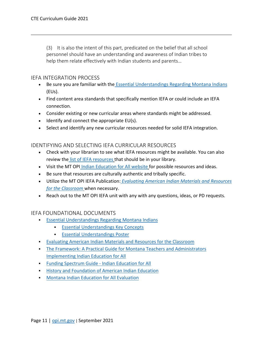(3) It is also the intent of this part, predicated on the belief that all school personnel should have an understanding and awareness of Indian tribes to help them relate effectively with Indian students and parents…

### <span id="page-11-0"></span>IEFA INTEGRATION PROCESS

- Be sure you are familiar with the [Essential Understandings Regarding Montana Indians](http://opi.mt.gov/Portals/182/Page%20Files/Indian%20Education/Indian%20Education%20101/essentialunderstandings.pdf?ver=2018-09-21-121920-993) (EUs).
- Find content area standards that specifically mention IEFA or could include an IEFA connection.
- Consider existing or new curricular areas where standards might be addressed.
- Identify and connect the appropriate EU(s).
- Select and identify any new curricular resources needed for solid IEFA integration.

### <span id="page-11-1"></span>IDENTIFYING AND SELECTING IEFA CURRICULAR RESOURCES

- Check with your librarian to see what IEFA resources might be available. You can also review the [list of IEFA resources](http://opi.mt.gov/Portals/182/Page%20Files/Indian%20Education/Indian%20Education%20101/Resources%20Sent%20to%20School%20Libraries.pdf?ver=2018-04-26-094128-500) that should be in your library.
- Visit the MT OPI [Indian Education for All website](http://opi.mt.gov/Educators/Teaching-Learning/Indian-Education-for-All) for possible resources and ideas.
- Be sure that resources are culturally authentic and tribally specific.
- Utilize the MT OPI IEFA Publication: *[Evaluating American Indian Materials and Resources](http://opi.mt.gov/Portals/182/Page%20Files/Indian%20Education/Indian%20Education%20101/Evaluating%20AI%20Materials%20and%20Resources%20for%20the%20Classroom.pdf)  [for the Classroom](http://opi.mt.gov/Portals/182/Page%20Files/Indian%20Education/Indian%20Education%20101/Evaluating%20AI%20Materials%20and%20Resources%20for%20the%20Classroom.pdf)* when necessary.
- Reach out to the MT OPI IEFA unit with any with any questions, ideas, or PD requests.

### <span id="page-11-2"></span>IEFA FOUNDATIONAL DOCUMENTS

- **[Essential Understandings Regarding Montana Indians](http://opi.mt.gov/Portals/182/Page%20Files/Indian%20Education/Indian%20Education%20101/essentialunderstandings.pdf?ver=2018-09-21-121920-993)** 
	- **[Essential Understandings Key Concepts](http://opi.mt.gov/Portals/182/Page%20Files/Indian%20Education/Indian%20Education%20101/EU_Key_Concepts.pdf?ver=2019-03-06-133235-637)**
	- **[Essential Understandings Poster](http://opi.mt.gov/Portals/182/Page%20Files/Indian%20Education/Indian%20Education%20101/Essential%20Understandings%20Poster.pdf?ver=2019-04-19-103530-247)**
- [Evaluating American Indian Materials and Resources for the Classroom](http://opi.mt.gov/Portals/182/Page%20Files/Indian%20Education/Indian%20Education%20101/Evaluating%20AI%20Materials%20and%20Resources%20for%20the%20Classroom.pdf?ver=2018-01-19-090349-920)
- [The Framework: A Practical Guide for Montana Teachers and Administrators](http://opi.mt.gov/Portals/182/Page%20Files/Indian%20Education/Indian%20Education%20101/Framework.pdf?ver=2018-03-13-161307-357)  [Implementing Indian Education for All](http://opi.mt.gov/Portals/182/Page%20Files/Indian%20Education/Indian%20Education%20101/Framework.pdf?ver=2018-03-13-161307-357)
- **[Funding Spectrum Guide -](http://opi.mt.gov/Portals/182/Page%20Files/Indian%20Education/Indian%20Education%20101/Funding%20Spectrum%20Guide%20-%20IEFA.pdf?ver=2018-01-22-090243-490) Indian Education for All**
- **[History and Foundation of American Indian Education](http://opi.mt.gov/Portals/182/Page%20Files/Indian%20Education/Indian%20Education%20101/History_FoundationAmindianEd.pdf)**
- **[Montana Indian Education for All Evaluation](http://opi.mt.gov/Portals/182/Page%20Files/Indian%20Education/Indian%20Education%20101/IEFA%20Evaluation.pdf?ver=2018-03-13-161917-910)**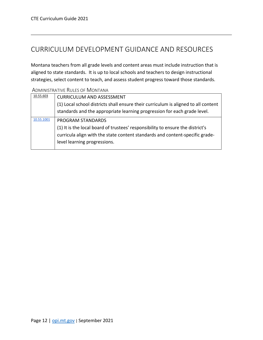# <span id="page-12-0"></span>CURRICULUM DEVELOPMENT GUIDANCE AND RESOURCES

Montana teachers from all grade levels and content areas must include instruction that is aligned to state standards. It is up to local schools and teachers to design instructional strategies, select content to teach, and assess student progress toward those standards.

| 10.55.603  | <b>CURRICULUM AND ASSESSMENT</b>                                                   |
|------------|------------------------------------------------------------------------------------|
|            | (1) Local school districts shall ensure their curriculum is aligned to all content |
|            | standards and the appropriate learning progression for each grade level.           |
| 10.55.1001 | PROGRAM STANDARDS                                                                  |
|            | (1) It is the local board of trustees' responsibility to ensure the district's     |
|            | curricula align with the state content standards and content-specific grade-       |
|            | level learning progressions.                                                       |
|            |                                                                                    |

<span id="page-12-1"></span>ADMINISTRATIVE RULES OF MONTANA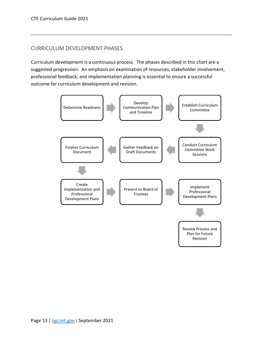# <span id="page-13-0"></span>CURRICULUM DEVELOPMENT PHASES

Curriculum development is a continuous process. The phases described in this chart are a suggested progression. An emphasis on examination of resources, stakeholder involvement, professional feedback, and implementation planning is essential to ensure a successful outcome for curriculum development and revision.

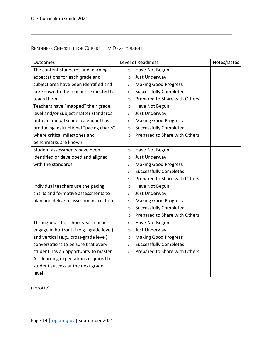# <span id="page-14-0"></span>READINESS CHECKLIST FOR CURRICULUM DEVELOPMENT

| Outcomes                                 | Level of Readiness |                               | Notes/Dates |
|------------------------------------------|--------------------|-------------------------------|-------------|
| The content standards and learning       | $\circ$            | Have Not Begun                |             |
| expectations for each grade and          | $\circ$            | Just Underway                 |             |
| subject area have been identified and    | $\circ$            | <b>Making Good Progress</b>   |             |
| are known to the teachers expected to    | $\circ$            | <b>Successfully Completed</b> |             |
| teach them.                              | $\circ$            | Prepared to Share with Others |             |
| Teachers have "mapped" their grade       | $\circ$            | Have Not Begun                |             |
| level and/or subject matter standards    | $\circ$            | Just Underway                 |             |
| onto an annual school calendar thus      | $\circ$            | <b>Making Good Progress</b>   |             |
| producing instructional "pacing charts"  | $\circ$            | <b>Successfully Completed</b> |             |
| where critical milestones and            | $\circ$            | Prepared to Share with Others |             |
| benchmarks are known.                    |                    |                               |             |
| Student assessments have been            | $\circ$            | Have Not Begun                |             |
| identified or developed and aligned      | $\circ$            | Just Underway                 |             |
| with the standards.                      | O                  | <b>Making Good Progress</b>   |             |
|                                          | $\circ$            | <b>Successfully Completed</b> |             |
|                                          | $\circ$            | Prepared to Share with Others |             |
| Individual teachers use the pacing       | $\circ$            | Have Not Begun                |             |
| charts and formative assessments to      | $\circ$            | Just Underway                 |             |
| plan and deliver classroom instruction.  | $\circ$            | <b>Making Good Progress</b>   |             |
|                                          | $\circ$            | <b>Successfully Completed</b> |             |
|                                          | $\circ$            | Prepared to Share with Others |             |
| Throughout the school year teachers      | $\circ$            | Have Not Begun                |             |
| engage in horizontal (e.g., grade level) | $\circ$            | Just Underway                 |             |
| and vertical (e.g., cross-grade level)   | $\circ$            | <b>Making Good Progress</b>   |             |
| conversations to be sure that every      | $\circ$            | <b>Successfully Completed</b> |             |
| student has an opportunity to master     | $\circ$            | Prepared to Share with Others |             |
| ALL learning expectations required for   |                    |                               |             |
| student success at the next grade        |                    |                               |             |
| level.                                   |                    |                               |             |

(Lezotte)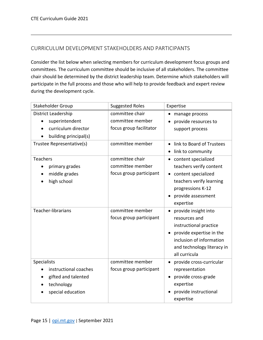# <span id="page-15-0"></span>CURRICULUM DEVELOPMENT STAKEHOLDERS AND PARTICIPANTS

Consider the list below when selecting members for curriculum development focus groups and committees. The curriculum committee should be inclusive of all stakeholders. The committee chair should be determined by the district leadership team. Determine which stakeholders will participate in the full process and those who will help to provide feedback and expert review during the development cycle.

| Stakeholder Group           | <b>Suggested Roles</b>  | Expertise                  |  |
|-----------------------------|-------------------------|----------------------------|--|
| District Leadership         | committee chair         | manage process             |  |
| superintendent              | committee member        | provide resources to       |  |
| curriculum director         | focus group facilitator | support process            |  |
| building principal(s)       |                         |                            |  |
| Trustee Representative(s)   | committee member        | link to Board of Trustees  |  |
|                             |                         | link to community<br>٠     |  |
| <b>Teachers</b>             | committee chair         | content specialized        |  |
| primary grades<br>$\bullet$ | committee member        | teachers verify content    |  |
| middle grades               | focus group participant | content specialized        |  |
| high school                 |                         | teachers verify learning   |  |
|                             |                         | progressions K-12          |  |
|                             |                         | provide assessment         |  |
|                             |                         | expertise                  |  |
| Teacher-librarians          | committee member        | provide insight into       |  |
|                             | focus group participant | resources and              |  |
|                             |                         | instructional practice     |  |
|                             |                         | provide expertise in the   |  |
|                             |                         | inclusion of information   |  |
|                             |                         | and technology literacy in |  |
|                             |                         | all curricula              |  |
| Specialists                 | committee member        | provide cross-curricular   |  |
| instructional coaches       | focus group participant | representation             |  |
| gifted and talented         |                         | provide cross-grade        |  |
| technology                  |                         | expertise                  |  |
| special education           |                         | provide instructional      |  |
|                             |                         | expertise                  |  |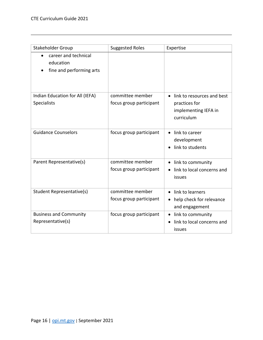| Stakeholder Group                                             | <b>Suggested Roles</b>                      | Expertise                                                                                |
|---------------------------------------------------------------|---------------------------------------------|------------------------------------------------------------------------------------------|
| career and technical<br>education<br>fine and performing arts |                                             |                                                                                          |
| Indian Education for All (IEFA)<br><b>Specialists</b>         | committee member<br>focus group participant | link to resources and best<br>practices for<br>implementing IEFA in<br>curriculum        |
| <b>Guidance Counselors</b>                                    | focus group participant                     | link to career<br>development<br>link to students                                        |
| Parent Representative(s)                                      | committee member<br>focus group participant | link to community<br>link to local concerns and<br>issues                                |
| Student Representative(s)                                     | committee member<br>focus group participant | link to learners<br>$\bullet$<br>help check for relevance<br>$\bullet$<br>and engagement |
| <b>Business and Community</b><br>Representative(s)            | focus group participant                     | link to community<br>$\bullet$<br>link to local concerns and<br>$\bullet$<br>issues      |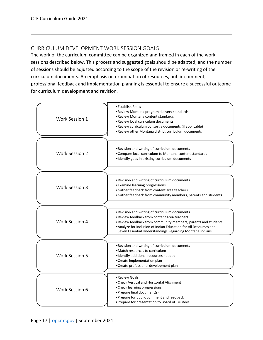# <span id="page-17-0"></span>CURRICULUM DEVELOPMENT WORK SESSION GOALS

The work of the curriculum committee can be organized and framed in each of the work sessions described below. This process and suggested goals should be adapted, and the number of sessions should be adjusted according to the scope of the revision or re-writing of the curriculum documents. An emphasis on examination of resources, public comment, professional feedback and implementation planning is essential to ensure a successful outcome for curriculum development and revision.

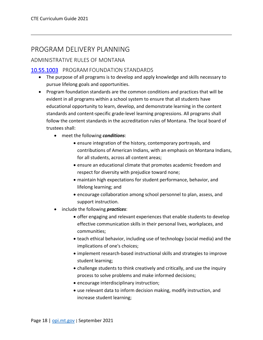# <span id="page-18-0"></span>PROGRAM DELIVERY PLANNING

# <span id="page-18-1"></span>ADMINISTRATIVE RULES OF MONTANA

# <span id="page-18-2"></span>[10.55.1003](http://mtrules.org/gateway/ruleno.asp?RN=10%2E55%2E1003) PROGRAM FOUNDATION STANDARDS

- The purpose of all programs is to develop and apply knowledge and skills necessary to pursue lifelong goals and opportunities.
- Program foundation standards are the common conditions and practices that will be evident in all programs within a school system to ensure that all students have educational opportunity to learn, develop, and demonstrate learning in the content standards and content-specific grade-level learning progressions. All programs shall follow the content standards in the accreditation rules of Montana. The local board of trustees shall:
	- meet the following *conditions*:
		- ensure integration of the history, contemporary portrayals, and contributions of American Indians, with an emphasis on Montana Indians, for all students, across all content areas;
		- ensure an educational climate that promotes academic freedom and respect for diversity with prejudice toward none;
		- maintain high expectations for student performance, behavior, and lifelong learning; and
		- encourage collaboration among school personnel to plan, assess, and support instruction.
	- include the following *practices*:
		- offer engaging and relevant experiences that enable students to develop effective communication skills in their personal lives, workplaces, and communities;
		- teach ethical behavior, including use of technology (social media) and the implications of one's choices;
		- implement research-based instructional skills and strategies to improve student learning;
		- challenge students to think creatively and critically, and use the inquiry process to solve problems and make informed decisions;
		- encourage interdisciplinary instruction;
		- use relevant data to inform decision making, modify instruction, and increase student learning;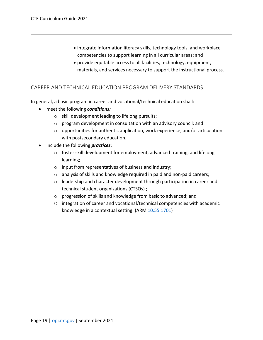- integrate information literacy skills, technology tools, and workplace competencies to support learning in all curricular areas; and
- provide equitable access to all facilities, technology, equipment, materials, and services necessary to support the instructional process.

### <span id="page-19-0"></span>CAREER AND TECHNICAL EDUCATION PROGRAM DELIVERY STANDARDS

In general, a basic program in career and vocational/technical education shall:

- meet the following *conditions:*
	- o skill development leading to lifelong pursuits;
	- o program development in consultation with an advisory council; and
	- o opportunities for authentic application, work experience, and/or articulation with postsecondary education.
- include the following *practices*:
	- o foster skill development for employment, advanced training, and lifelong learning;
	- o input from representatives of business and industry;
	- o analysis of skills and knowledge required in paid and non-paid careers;
	- o leadership and character development through participation in career and technical student organizations (CTSOs) ;
	- o progression of skills and knowledge from basic to advanced; and
	- O integration of career and vocational/technical competencies with academic knowledge in a contextual setting. (ARM [10.55.1701\)](http://mtrules.org/gateway/ruleno.asp?RN=10%2E55%2E1701)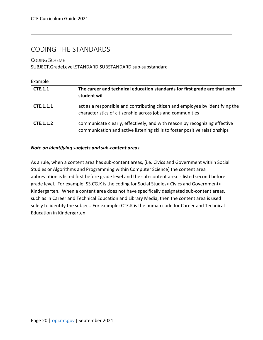# <span id="page-20-0"></span>CODING THE STANDARDS

<span id="page-20-1"></span>CODING SCHEME

SUBJECT.GradeLevel.STANDARD.SUBSTANDARD.sub-substandard

| Example        |                                                                                                                                                          |
|----------------|----------------------------------------------------------------------------------------------------------------------------------------------------------|
| <b>CTE.1.1</b> | The career and technical education standards for first grade are that each<br>student will                                                               |
| CTE.1.1.1      | act as a responsible and contributing citizen and employee by identifying the<br>characteristics of citizenship across jobs and communities              |
| CTE.1.1.2      | communicate clearly, effectively, and with reason by recognizing effective<br>communication and active listening skills to foster positive relationships |

#### *Note on identifying subjects and sub-content areas*

As a rule, when a content area has sub-content areas, (i.e. Civics and Government within Social Studies or Algorithms and Programming within Computer Science) the content area abbreviation is listed first before grade level and the sub-content area is listed second before grade level. For example: SS.CG.K is the coding for Social Studies> Civics and Government> Kindergarten. When a content area does not have specifically designated sub-content areas, such as in Career and Technical Education and Library Media, then the content area is used solely to identify the subject. For example: CTE.K is the human code for Career and Technical Education in Kindergarten.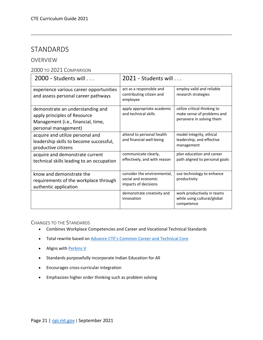# <span id="page-21-0"></span>STANDARDS

### <span id="page-21-1"></span>OVERVIEW

#### <span id="page-21-2"></span>2000 TO 2021 COMPARISON

| $2000$ - Students will $\ldots$                                                                                                | $2021$ - Students will $\ldots$                                            |                                                                                         |
|--------------------------------------------------------------------------------------------------------------------------------|----------------------------------------------------------------------------|-----------------------------------------------------------------------------------------|
| experience various career opportunities<br>and assess personal career pathways                                                 | act as a responsible and<br>contributing citizen and<br>employee           | employ valid and reliable<br>research strategies                                        |
| demonstrate an understanding and<br>apply principles of Resource<br>Management (i.e., financial, time,<br>personal management) | apply appropriate academic<br>and technical skills                         | utilize critical thinking to<br>make sense of problems and<br>persevere in solving them |
| acquire and utilize personal and<br>leadership skills to become successful,<br>productive citizens                             | attend to personal health<br>and financial well-being                      | model integrity, ethical<br>leadership, and effective<br>management                     |
| acquire and demonstrate current<br>technical skills leading to an occupation                                                   | communicate clearly,<br>effectively, and with reason                       | plan education and career<br>path aligned to personal goals                             |
| know and demonstrate the<br>requirements of the workplace through<br>authentic application                                     | consider the environmental,<br>social and economic<br>impacts of decisions | use technology to enhance<br>productivity                                               |
|                                                                                                                                | demonstrate creativity and<br>innovation                                   | work productively in teams<br>while using cultural/global<br>competence                 |

<span id="page-21-3"></span>CHANGES TO THE STANDARDS

- Combines Workplace Competencies and Career and Vocational Technical Standards
- Total rewrite based on [Advance CTE's Common Career and Technical Core](https://careertech.org/cctc)
- Aligns with [Perkins V](http://opi.mt.gov/Perkins-V)
- Standards purposefully incorporate Indian Education for All
- Encourages cross-curricular integration
- Emphasizes higher order thinking such as problem solving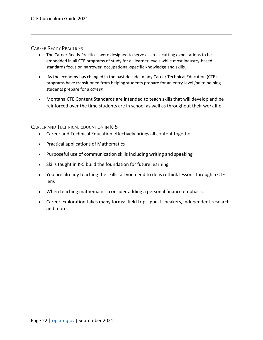#### <span id="page-22-0"></span>CAREER READY PRACTICES

- The Career Ready Practices were designed to serve as cross-cutting expectations to be embedded in all CTE programs of study for all learner levels while most industry-based standards focus on narrower, occupational-specific knowledge and skills.
- As the economy has changed in the past decade, many Career Technical Education (CTE) programs have transitioned from helping students prepare for an entry-level *job* to helping students prepare for a *career.*
- Montana CTE Content Standards are intended to teach skills that will develop and be reinforced over the time students are in school as well as throughout their work life.

<span id="page-22-1"></span>CAREER AND TECHNICAL EDUCATION IN K-5

- Career and Technical Education effectively brings all content together
- Practical applications of Mathematics
- Purposeful use of communication skills including writing and speaking
- Skills taught in K-5 build the foundation for future learning
- You are already teaching the skills; all you need to do is rethink lessons through a CTE lens
- When teaching mathematics, consider adding a personal finance emphasis.
- Career exploration takes many forms: field trips, guest speakers, independent research and more.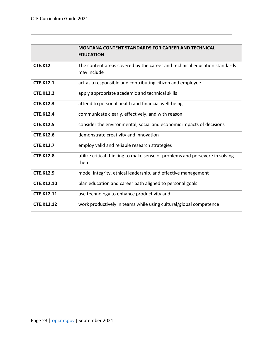|                   | <b>MONTANA CONTENT STANDARDS FOR CAREER AND TECHNICAL</b><br><b>EDUCATION</b>            |
|-------------------|------------------------------------------------------------------------------------------|
| <b>CTE.K12</b>    | The content areas covered by the career and technical education standards<br>may include |
| <b>CTE.K12.1</b>  | act as a responsible and contributing citizen and employee                               |
| <b>CTE.K12.2</b>  | apply appropriate academic and technical skills                                          |
| <b>CTE.K12.3</b>  | attend to personal health and financial well-being                                       |
| <b>CTE.K12.4</b>  | communicate clearly, effectively, and with reason                                        |
| <b>CTE.K12.5</b>  | consider the environmental, social and economic impacts of decisions                     |
| <b>CTE.K12.6</b>  | demonstrate creativity and innovation                                                    |
| <b>CTE.K12.7</b>  | employ valid and reliable research strategies                                            |
| <b>CTE.K12.8</b>  | utilize critical thinking to make sense of problems and persevere in solving<br>them     |
| <b>CTE.K12.9</b>  | model integrity, ethical leadership, and effective management                            |
| <b>CTE.K12.10</b> | plan education and career path aligned to personal goals                                 |
| <b>CTE.K12.11</b> | use technology to enhance productivity and                                               |
| <b>CTE.K12.12</b> | work productively in teams while using cultural/global competence                        |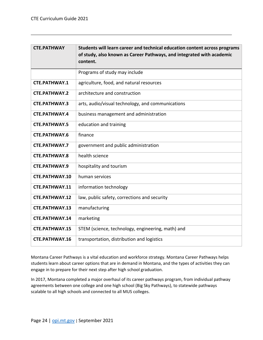| <b>CTE.PATHWAY</b>    | Students will learn career and technical education content across programs<br>of study, also known as Career Pathways, and integrated with academic<br>content. |
|-----------------------|-----------------------------------------------------------------------------------------------------------------------------------------------------------------|
|                       | Programs of study may include                                                                                                                                   |
| <b>CTE.PATHWAY.1</b>  | agriculture, food, and natural resources                                                                                                                        |
| <b>CTE.PATHWAY.2</b>  | architecture and construction                                                                                                                                   |
| <b>CTE.PATHWAY.3</b>  | arts, audio/visual technology, and communications                                                                                                               |
| <b>CTE.PATHWAY.4</b>  | business management and administration                                                                                                                          |
| <b>CTE.PATHWAY.5</b>  | education and training                                                                                                                                          |
| <b>CTE.PATHWAY.6</b>  | finance                                                                                                                                                         |
| <b>CTE.PATHWAY.7</b>  | government and public administration                                                                                                                            |
| <b>CTE.PATHWAY.8</b>  | health science                                                                                                                                                  |
| <b>CTE.PATHWAY.9</b>  | hospitality and tourism                                                                                                                                         |
| <b>CTE.PATHWAY.10</b> | human services                                                                                                                                                  |
| CTE.PATHWAY.11        | information technology                                                                                                                                          |
| <b>CTE.PATHWAY.12</b> | law, public safety, corrections and security                                                                                                                    |
| <b>CTE.PATHWAY.13</b> | manufacturing                                                                                                                                                   |
| CTE.PATHWAY.14        | marketing                                                                                                                                                       |
| <b>CTE.PATHWAY.15</b> | STEM (science, technology, engineering, math) and                                                                                                               |
| CTE.PATHWAY.16        | transportation, distribution and logistics                                                                                                                      |

Montana Career Pathways is a vital education and workforce strategy. Montana Career Pathways helps students learn about career options that are in demand in Montana, and the types of activities they can engage in to prepare for their next step after high school graduation.

In 2017, Montana completed a major overhaul of its career pathways program, from individual pathway agreements between one college and one high school (Big Sky Pathways), to statewide pathways scalable to all high schools and connected to all MUS colleges.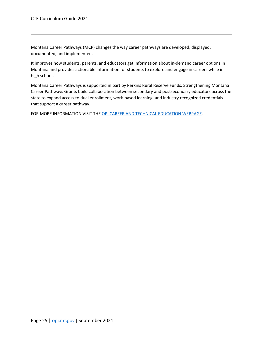Montana Career Pathways (MCP) changes the way career pathways are developed, displayed, documented, and implemented.

It improves how students, parents, and educators get information about in-demand career options in Montana and provides actionable information for students to explore and engage in careers while in high school.

Montana Career Pathways is supported in part by Perkins Rural Reserve Funds. Strengthening Montana Career Pathways Grants build collaboration between secondary and postsecondary educators across the state to expand access to dual enrollment, work-based learning, and industry recognized credentials that support a career pathway.

<span id="page-25-0"></span>FOR MORE INFORMATION VISIT THE [OPI CAREER AND TECHNICAL EDUCATION WEBPAGE.](http://opi.mt.gov/Educators/Teaching-Learning/Career-Technical-Education-CTE/About-Montana-Career-Pathways)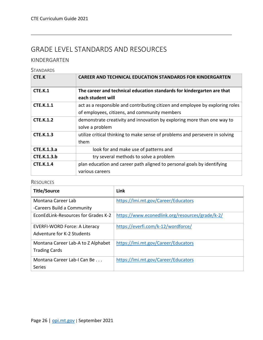# <span id="page-26-0"></span>GRADE LEVEL STANDARDS AND RESOURCES

# <span id="page-26-1"></span>KINDERGARTEN

#### <span id="page-26-2"></span>**STANDARDS**

| CTE.K              | <b>CAREER AND TECHNICAL EDUCATION STANDARDS FOR KINDERGARTEN</b>              |
|--------------------|-------------------------------------------------------------------------------|
| CTE.K.1            | The career and technical education standards for kindergarten are that        |
|                    | each student will                                                             |
| <b>CTE.K.1.1</b>   | act as a responsible and contributing citizen and employee by exploring roles |
|                    | of employees, citizens, and community members                                 |
| <b>CTE.K.1.2</b>   | demonstrate creativity and innovation by exploring more than one way to       |
|                    | solve a problem                                                               |
| <b>CTE.K.1.3</b>   | utilize critical thinking to make sense of problems and persevere in solving  |
|                    | them                                                                          |
| <b>CTE.K.1.3.a</b> | look for and make use of patterns and                                         |
| <b>CTE.K.1.3.b</b> | try several methods to solve a problem                                        |
| <b>CTE.K.1.4</b>   | plan education and career path aligned to personal goals by identifying       |
|                    | various careers                                                               |

<span id="page-26-3"></span>

| <b>Title/Source</b>                  | Link                                            |
|--------------------------------------|-------------------------------------------------|
| Montana Career Lab                   | https://lmi.mt.gov/Career/Educators             |
| -Careers Build a Community           |                                                 |
| EconEdLink-Resources for Grades K-2  | https://www.econedlink.org/resources/grade/k-2/ |
| <b>EVERFI-WORD Force: A Literacy</b> | https://everfi.com/k-12/wordforce/              |
| Adventure for K-2 Students           |                                                 |
| Montana Career Lab-A to Z Alphabet   | https://lmi.mt.gov/Career/Educators             |
| <b>Trading Cards</b>                 |                                                 |
| Montana Career Lab-I Can Be          | https://lmi.mt.gov/Career/Educators             |
| <b>Series</b>                        |                                                 |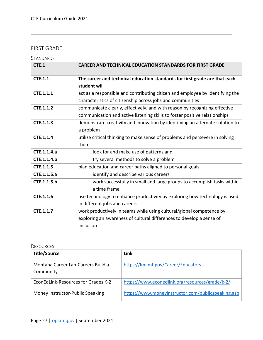# <span id="page-27-0"></span>FIRST GRADE

# <span id="page-27-1"></span>**STANDARDS**

| CTE.1            | <b>CAREER AND TECHNICAL EDUCATION STANDARDS FOR FIRST GRADE</b>                                                                                           |
|------------------|-----------------------------------------------------------------------------------------------------------------------------------------------------------|
| <b>CTE.1.1</b>   | The career and technical education standards for first grade are that each<br>student will                                                                |
| <b>CTE.1.1.1</b> | act as a responsible and contributing citizen and employee by identifying the<br>characteristics of citizenship across jobs and communities               |
| <b>CTE.1.1.2</b> | communicate clearly, effectively, and with reason by recognizing effective<br>communication and active listening skills to foster positive relationships  |
| CTE.1.1.3        | demonstrate creativity and innovation by identifying an alternate solution to<br>a problem                                                                |
| CTE.1.1.4        | utilize critical thinking to make sense of problems and persevere in solving<br>them                                                                      |
| CTE.1.1.4.a      | look for and make use of patterns and                                                                                                                     |
| CTE.1.1.4.b      | try several methods to solve a problem                                                                                                                    |
| <b>CTE.1.1.5</b> | plan education and career paths aligned to personal goals                                                                                                 |
| CTE.1.1.5.a      | identify and describe various careers                                                                                                                     |
| CTE.1.1.5.b      | work successfully in small and large groups to accomplish tasks within<br>a time frame                                                                    |
| CTE.1.1.6        | use technology to enhance productivity by exploring how technology is used<br>in different jobs and careers                                               |
| CTE.1.1.7        | work productively in teams while using cultural/global competence by<br>exploring an awareness of cultural differences to develop a sense of<br>inclusion |

<span id="page-27-2"></span>

| <b>Title/Source</b>                             | Link                                               |
|-------------------------------------------------|----------------------------------------------------|
| Montana Career Lab-Careers Build a<br>Community | https://lmi.mt.gov/Career/Educators                |
| EconEdLink-Resources for Grades K-2             | https://www.econedlink.org/resources/grade/k-2/    |
| Money Instructor-Public Speaking                | https://www.moneyinstructor.com/publicspeaking.asp |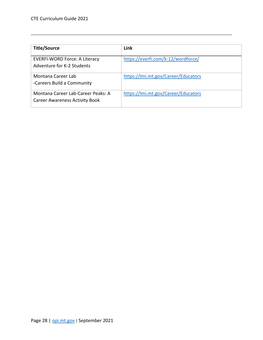| <b>Title/Source</b>                                                         | Link                                |
|-----------------------------------------------------------------------------|-------------------------------------|
| EVERFI-WORD Force: A Literacy<br>Adventure for K-2 Students                 | https://everfi.com/k-12/wordforce/  |
| Montana Career Lab<br>-Careers Build a Community                            | https://lmi.mt.gov/Career/Educators |
| Montana Career Lab-Career Peaks: A<br><b>Career Awareness Activity Book</b> | https://lmi.mt.gov/Career/Educators |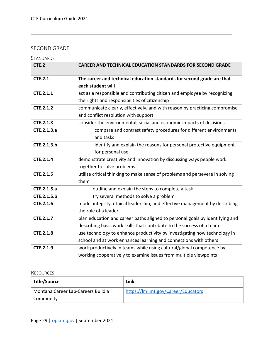# <span id="page-29-0"></span>SECOND GRADE

# <span id="page-29-1"></span>**STANDARDS**

| CTE.2            | <b>CAREER AND TECHNICAL EDUCATION STANDARDS FOR SECOND GRADE</b>             |
|------------------|------------------------------------------------------------------------------|
| <b>CTE.2.1</b>   | The career and technical education standards for second grade are that       |
|                  | each student will                                                            |
| CTE.2.1.1        | act as a responsible and contributing citizen and employee by recognizing    |
|                  | the rights and responsibilities of citizenship                               |
| <b>CTE.2.1.2</b> | communicate clearly, effectively, and with reason by practicing compromise   |
|                  | and conflict resolution with support                                         |
| <b>CTE.2.1.3</b> | consider the environmental, social and economic impacts of decisions         |
| CTE.2.1.3.a      | compare and contrast safety procedures for different environments            |
|                  | and tasks                                                                    |
| CTE.2.1.3.b      | identify and explain the reasons for personal protective equipment           |
|                  | for personal use                                                             |
| <b>CTE.2.1.4</b> | demonstrate creativity and innovation by discussing ways people work         |
|                  | together to solve problems                                                   |
| <b>CTE.2.1.5</b> | utilize critical thinking to make sense of problems and persevere in solving |
|                  | them                                                                         |
| CTE.2.1.5.a      | outline and explain the steps to complete a task                             |
| CTE.2.1.5.b      | try several methods to solve a problem                                       |
| CTE.2.1.6        | model integrity, ethical leadership, and effective management by describing  |
|                  | the role of a leader                                                         |
| CTE.2.1.7        | plan education and career paths aligned to personal goals by identifying and |
|                  | describing basic work skills that contribute to the success of a team        |
| <b>CTE.2.1.8</b> | use technology to enhance productivity by investigating how technology in    |
|                  | school and at work enhances learning and connections with others             |
| <b>CTE.2.1.9</b> | work productively in teams while using cultural/global competence by         |
|                  | working cooperatively to examine issues from multiple viewpoints             |

<span id="page-29-2"></span>

| Title/Source                       | Link                                |
|------------------------------------|-------------------------------------|
| Montana Career Lab-Careers Build a | https://lmi.mt.gov/Career/Educators |
| Community                          |                                     |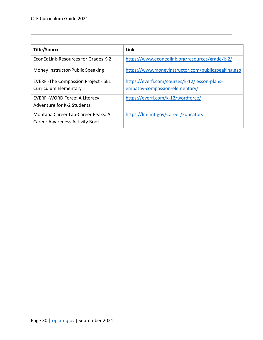| <b>Title/Source</b>                        | Link                                               |
|--------------------------------------------|----------------------------------------------------|
| EconEdLink-Resources for Grades K-2        | https://www.econedlink.org/resources/grade/k-2/    |
| Money Instructor-Public Speaking           | https://www.moneyinstructor.com/publicspeaking.asp |
| <b>EVERFI-The Compassion Project - SEL</b> | https://everfi.com/courses/k-12/lesson-plans-      |
| <b>Curriculum Elementary</b>               | empathy-compassion-elementary/                     |
| <b>EVERFI-WORD Force: A Literacy</b>       | https://everfi.com/k-12/wordforce/                 |
| Adventure for K-2 Students                 |                                                    |
| Montana Career Lab-Career Peaks: A         | https://lmi.mt.gov/Career/Educators                |
| <b>Career Awareness Activity Book</b>      |                                                    |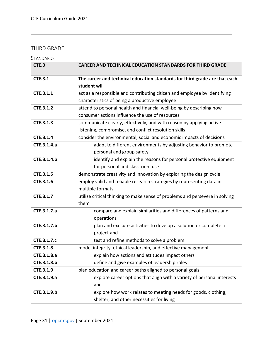# <span id="page-31-0"></span>THIRD GRADE

<span id="page-31-1"></span>

| CTE.3            | <b>CAREER AND TECHNICAL EDUCATION STANDARDS FOR THIRD GRADE</b>              |
|------------------|------------------------------------------------------------------------------|
| <b>CTE.3.1</b>   | The career and technical education standards for third grade are that each   |
|                  | student will                                                                 |
| <b>CTE.3.1.1</b> | act as a responsible and contributing citizen and employee by identifying    |
|                  | characteristics of being a productive employee                               |
| <b>CTE.3.1.2</b> | attend to personal health and financial well-being by describing how         |
|                  | consumer actions influence the use of resources                              |
| CTE.3.1.3        | communicate clearly, effectively, and with reason by applying active         |
|                  | listening, compromise, and conflict resolution skills                        |
| <b>CTE.3.1.4</b> | consider the environmental, social and economic impacts of decisions         |
| CTE.3.1.4.a      | adapt to different environments by adjusting behavior to promote             |
|                  | personal and group safety                                                    |
| CTE.3.1.4.b      | identify and explain the reasons for personal protective equipment           |
|                  | for personal and classroom use                                               |
| CTE.3.1.5        | demonstrate creativity and innovation by exploring the design cycle          |
| CTE.3.1.6        | employ valid and reliable research strategies by representing data in        |
|                  | multiple formats                                                             |
| CTE.3.1.7        | utilize critical thinking to make sense of problems and persevere in solving |
|                  | them                                                                         |
| CTE.3.1.7.a      | compare and explain similarities and differences of patterns and             |
|                  | operations                                                                   |
| CTE.3.1.7.b      | plan and execute activities to develop a solution or complete a              |
|                  | project and                                                                  |
| CTE.3.1.7.c      | test and refine methods to solve a problem                                   |
| CTE.3.1.8        | model integrity, ethical leadership, and effective management                |
| CTE.3.1.8.a      | explain how actions and attitudes impact others                              |
| CTE.3.1.8.b      | define and give examples of leadership roles                                 |
| CTE.3.1.9        | plan education and career paths aligned to personal goals                    |
| CTE.3.1.9.a      | explore career options that align with a variety of personal interests       |
|                  | and                                                                          |
| CTE.3.1.9.b      | explore how work relates to meeting needs for goods, clothing,               |
|                  | shelter, and other necessities for living                                    |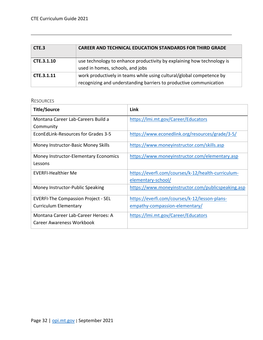| CTE.3      | <b>CAREER AND TECHNICAL EDUCATION STANDARDS FOR THIRD GRADE</b>                                                                            |
|------------|--------------------------------------------------------------------------------------------------------------------------------------------|
| CTE.3.1.10 | use technology to enhance productivity by explaining how technology is<br>used in homes, schools, and jobs                                 |
| CTE.3.1.11 | work productively in teams while using cultural/global competence by<br>recognizing and understanding barriers to productive communication |

<span id="page-32-0"></span>

| <b>Title/Source</b>                        | Link                                               |
|--------------------------------------------|----------------------------------------------------|
| Montana Career Lab-Careers Build a         | https://lmi.mt.gov/Career/Educators                |
| Community                                  |                                                    |
| EconEdLink-Resources for Grades 3-5        | https://www.econedlink.org/resources/grade/3-5/    |
| Money Instructor-Basic Money Skills        | https://www.moneyinstructor.com/skills.asp         |
| Money Instructor-Elementary Economics      | https://www.moneyinstructor.com/elementary.asp     |
| Lessons                                    |                                                    |
| <b>EVERFI-Healthier Me</b>                 | https://everfi.com/courses/k-12/health-curriculum- |
|                                            | elementary-school/                                 |
| Money Instructor-Public Speaking           | https://www.moneyinstructor.com/publicspeaking.asp |
| <b>EVERFI-The Compassion Project - SEL</b> | https://everfi.com/courses/k-12/lesson-plans-      |
| <b>Curriculum Elementary</b>               | empathy-compassion-elementary/                     |
| Montana Career Lab-Career Heroes: A        | https://lmi.mt.gov/Career/Educators                |
| Career Awareness Workbook                  |                                                    |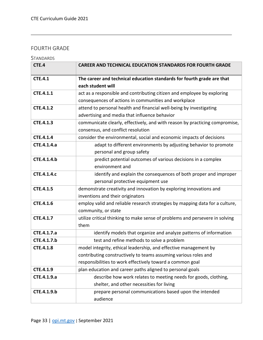# <span id="page-33-0"></span>FOURTH GRADE

# <span id="page-33-1"></span>**STANDARDS**

| CTE.4              | <b>CAREER AND TECHNICAL EDUCATION STANDARDS FOR FOURTH GRADE</b>             |
|--------------------|------------------------------------------------------------------------------|
| <b>CTE.4.1</b>     | The career and technical education standards for fourth grade are that       |
|                    | each student will                                                            |
| <b>CTE.4.1.1</b>   | act as a responsible and contributing citizen and employee by exploring      |
|                    | consequences of actions in communities and workplace                         |
| <b>CTE.4.1.2</b>   | attend to personal health and financial well-being by investigating          |
|                    | advertising and media that influence behavior                                |
| <b>CTE.4.1.3</b>   | communicate clearly, effectively, and with reason by practicing compromise,  |
|                    | consensus, and conflict resolution                                           |
| <b>CTE.4.1.4</b>   | consider the environmental, social and economic impacts of decisions         |
| CTE.4.1.4.a        | adapt to different environments by adjusting behavior to promote             |
|                    | personal and group safety                                                    |
| CTE.4.1.4.b        | predict potential outcomes of various decisions in a complex                 |
|                    | environment and                                                              |
| <b>CTE.4.1.4.c</b> | identify and explain the consequences of both proper and improper            |
|                    | personal protective equipment use                                            |
| <b>CTE.4.1.5</b>   | demonstrate creativity and innovation by exploring innovations and           |
|                    | inventions and their originators                                             |
| <b>CTE.4.1.6</b>   | employ valid and reliable research strategies by mapping data for a culture, |
|                    | community, or state                                                          |
| <b>CTE.4.1.7</b>   | utilize critical thinking to make sense of problems and persevere in solving |
|                    | them                                                                         |
| CTE.4.1.7.a        | identify models that organize and analyze patterns of information            |
| CTE.4.1.7.b        | test and refine methods to solve a problem                                   |
| <b>CTE.4.1.8</b>   | model integrity, ethical leadership, and effective management by             |
|                    | contributing constructively to teams assuming various roles and              |
|                    | responsibilities to work effectively toward a common goal                    |
| <b>CTE.4.1.9</b>   | plan education and career paths aligned to personal goals                    |
| CTE.4.1.9.a        | describe how work relates to meeting needs for goods, clothing,              |
|                    | shelter, and other necessities for living                                    |
| CTE.4.1.9.b        | prepare personal communications based upon the intended                      |
|                    | audience                                                                     |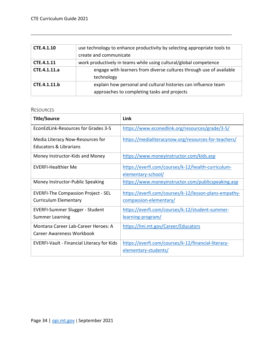| CTE.4.1.10   | use technology to enhance productivity by selecting appropriate tools to |
|--------------|--------------------------------------------------------------------------|
|              | create and communicate                                                   |
| CTE.4.1.11   | work productively in teams while using cultural/global competence        |
| CTE.4.1.11.a | engage with learners from diverse cultures through use of available      |
|              | technology                                                               |
| CTE.4.1.11.b | explain how personal and cultural histories can influence team           |
|              | approaches to completing tasks and projects                              |

<span id="page-34-0"></span>

| <b>Title/Source</b>                               | Link                                                  |
|---------------------------------------------------|-------------------------------------------------------|
| EconEdLink-Resources for Grades 3-5               | https://www.econedlink.org/resources/grade/3-5/       |
| Media Literacy Now-Resources for                  | https://medialiteracynow.org/resources-for-teachers/  |
| <b>Educators &amp; Librarians</b>                 |                                                       |
| Money Instructor-Kids and Money                   | https://www.moneyinstructor.com/kids.asp              |
| <b>EVERFI-Healthier Me</b>                        | https://everfi.com/courses/k-12/health-curriculum-    |
|                                                   | elementary-school/                                    |
| Money Instructor-Public Speaking                  | https://www.moneyinstructor.com/publicspeaking.asp    |
| <b>EVERFI-The Compassion Project - SEL</b>        | https://everfi.com/courses/k-12/lesson-plans-empathy- |
| <b>Curriculum Elementary</b>                      | compassion-elementary/                                |
| <b>EVERFI-Summer Slugger - Student</b>            | https://everfi.com/courses/k-12/student-summer-       |
| <b>Summer Learning</b>                            | <u>learning-program/</u>                              |
| Montana Career Lab-Career Heroes: A               | https://lmi.mt.gov/Career/Educators                   |
| Career Awareness Workbook                         |                                                       |
| <b>EVERFI-Vault - Financial Literacy for Kids</b> | https://everfi.com/courses/k-12/financial-literacy-   |
|                                                   | elementary-students/                                  |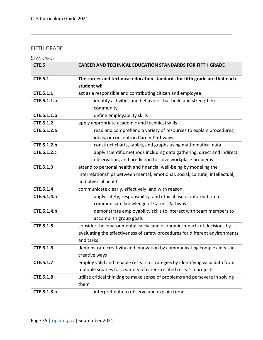# <span id="page-35-0"></span>FIFTH GRADE

<span id="page-35-1"></span>

| STANDARDS |
|-----------|
|-----------|

| CTE.5            | <b>CAREER AND TECHNICAL EDUCATION STANDARDS FOR FIFTH GRADE</b>               |
|------------------|-------------------------------------------------------------------------------|
| <b>CTE.5.1</b>   | The career and technical education standards for fifth grade are that each    |
|                  | student will                                                                  |
| CTE.5.1.1        | act as a responsible and contributing citizen and employee                    |
| CTE.5.1.1.a      | identify activities and behaviors that build and strengthen                   |
|                  | community                                                                     |
| CTE.5.1.1.b      | define employability skills                                                   |
| <b>CTE.5.1.2</b> | apply appropriate academic and technical skills                               |
| CTE.5.1.2.a      | read and comprehend a variety of resources to explain procedures,             |
|                  | ideas, or concepts in Career Pathways                                         |
| CTE.5.1.2.b      | construct charts, tables, and graphs using mathematical data                  |
| CTE.5.1.2.c      | apply scientific methods including data gathering, direct and indirect        |
|                  | observation, and prediction to solve workplace problems                       |
| CTE.5.1.3        | attend to personal health and financial well-being by modeling the            |
|                  | interrelationships between mental, emotional, social, cultural, intellectual, |
|                  | and physical health                                                           |
| CTE.5.1.4        | communicate clearly, effectively, and with reason                             |
| CTE.5.1.4.a      | apply safety, responsibility, and ethical use of information to               |
|                  | communicate knowledge of Career Pathways                                      |
| CTE.5.1.4.b      | demonstrate employability skills to interact with team members to             |
|                  | accomplish group goals                                                        |
| <b>CTE.5.1.5</b> | consider the environmental, social and economic impacts of decisions by       |
|                  | evaluating the effectiveness of safety procedures for different environments  |
|                  | and tasks                                                                     |
| CTE.5.1.6        | demonstrate creativity and innovation by communicating complex ideas in       |
|                  | creative ways                                                                 |
| CTE.5.1.7        | employ valid and reliable research strategies by identifying valid data from  |
|                  | multiple sources for a variety of career-related research projects            |
| <b>CTE.5.1.8</b> | utilize critical thinking to make sense of problems and persevere in solving  |
|                  | them                                                                          |
| CTE.5.1.8.a      | interpret data to observe and explain trends                                  |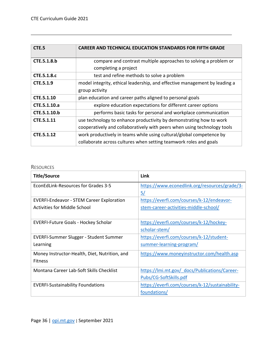| CTE.5              | <b>CAREER AND TECHNICAL EDUCATION STANDARDS FOR FIFTH GRADE</b>            |
|--------------------|----------------------------------------------------------------------------|
| CTE.5.1.8.b        | compare and contrast multiple approaches to solving a problem or           |
|                    | completing a project                                                       |
| <b>CTE.5.1.8.c</b> | test and refine methods to solve a problem                                 |
| CTE.5.1.9          | model integrity, ethical leadership, and effective management by leading a |
|                    | group activity                                                             |
| CTE.5.1.10         | plan education and career paths aligned to personal goals                  |
| CTE.5.1.10.a       | explore education expectations for different career options                |
| CTE.5.1.10.b       | performs basic tasks for personal and workplace communication              |
| CTE.5.1.11         | use technology to enhance productivity by demonstrating how to work        |
|                    | cooperatively and collaboratively with peers when using technology tools   |
| CTE.5.1.12         | work productively in teams while using cultural/global competence by       |
|                    | collaborate across cultures when setting teamwork roles and goals          |

<span id="page-36-0"></span>

| <b>Title/Source</b>                              | Link                                            |
|--------------------------------------------------|-------------------------------------------------|
| EconEdLink-Resources for Grades 3-5              | https://www.econedlink.org/resources/grade/3-   |
|                                                  | 5/                                              |
| <b>EVERFI-Endeavor - STEM Career Exploration</b> | https://everfi.com/courses/k-12/endeavor-       |
| Activities for Middle School                     | stem-career-activities-middle-school/           |
|                                                  |                                                 |
| <b>EVERFI-Future Goals - Hockey Scholar</b>      | https://everfi.com/courses/k-12/hockey-         |
|                                                  | scholar-stem/                                   |
| EVERFI-Summer Slugger - Student Summer           | https://everfi.com/courses/k-12/student-        |
| Learning                                         | summer-learning-program/                        |
| Money Instructor-Health, Diet, Nutrition, and    | https://www.moneyinstructor.com/health.asp      |
| <b>Fitness</b>                                   |                                                 |
| Montana Career Lab-Soft Skills Checklist         | https://lmi.mt.gov/ docs/Publications/Career-   |
|                                                  | Pubs/CG-SoftSkills.pdf                          |
| <b>EVERFI-Sustainability Foundations</b>         | https://everfi.com/courses/k-12/sustainability- |
|                                                  | foundations/                                    |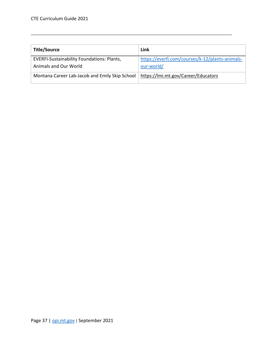| <b>Title/Source</b>                               | Link                                            |
|---------------------------------------------------|-------------------------------------------------|
| <b>EVERFI-Sustainability Foundations: Plants,</b> | https://everfi.com/courses/k-12/plants-animals- |
| Animals and Our World                             | our-world/                                      |
| Montana Career Lab-Jacob and Emily Skip School    | https://lmi.mt.gov/Career/Educators             |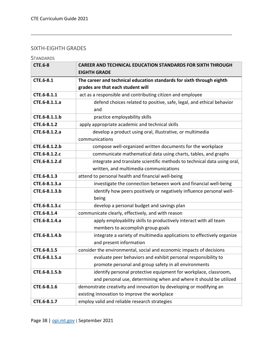# <span id="page-38-0"></span>SIXTH-EIGHTH GRADES

# <span id="page-38-1"></span>**STANDARDS**

| <b>CTE.6-8</b> | <b>CAREER AND TECHNICAL EDUCATION STANDARDS FOR SIXTH THROUGH</b>        |
|----------------|--------------------------------------------------------------------------|
|                | <b>EIGHTH GRADE</b>                                                      |
| CTE.6-8.1      | The career and technical education standards for sixth through eighth    |
|                | grades are that each student will                                        |
| CTE.6-8.1.1    | act as a responsible and contributing citizen and employee               |
| CTE.6-8.1.1.a  | defend choices related to positive, safe, legal, and ethical behavior    |
|                | and                                                                      |
| CTE.6-8.1.1.b  | practice employability skills                                            |
| CTE.6-8.1.2    | apply appropriate academic and technical skills                          |
| CTE.6-8.1.2.a  | develop a product using oral, illustrative, or multimedia                |
|                | communications                                                           |
| CTE.6-8.1.2.b  | compose well-organized written documents for the workplace               |
| CTE.6-8.1.2.c  | communicate mathematical data using charts, tables, and graphs           |
| CTE.6-8.1.2.d  | integrate and translate scientific methods to technical data using oral, |
|                | written, and multimedia communications                                   |
| CTE.6-8.1.3    | attend to personal health and financial well-being                       |
| CTE.6-8.1.3.a  | investigate the connection between work and financial well-being         |
| CTE.6-8.1.3.b  | identify how peers positively or negatively influence personal well-     |
|                | being                                                                    |
| CTE.6-8.1.3.c  | develop a personal budget and savings plan                               |
| CTE.6-8.1.4    | communicate clearly, effectively, and with reason                        |
| CTE.6-8.1.4.a  | apply employability skills to productively interact with all team        |
|                | members to accomplish group goals                                        |
| CTE.6-8.1.4.b  | integrate a variety of multimedia applications to effectively organize   |
|                | and present information                                                  |
| CTE.6-8.1.5    | consider the environmental, social and economic impacts of decisions     |
| CTE.6-8.1.5.a  | evaluate peer behaviors and exhibit personal responsibility to           |
|                | promote personal and group safety in all environments                    |
| CTE.6-8.1.5.b  | identify personal protective equipment for workplace, classroom,         |
|                | and personal use, determining when and where it should be utilized       |
| CTE.6-8.1.6    | demonstrate creativity and innovation by developing or modifying an      |
|                | existing innovation to improve the workplace                             |
| CTE.6-8.1.7    | employ valid and reliable research strategies                            |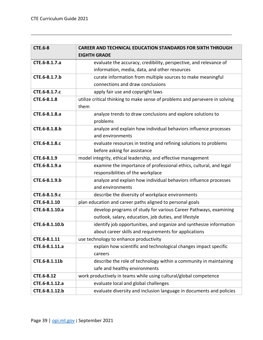| <b>CTE.6-8</b> | <b>CAREER AND TECHNICAL EDUCATION STANDARDS FOR SIXTH THROUGH</b>            |
|----------------|------------------------------------------------------------------------------|
|                | <b>EIGHTH GRADE</b>                                                          |
| CTE.6-8.1.7.a  | evaluate the accuracy, credibility, perspective, and relevance of            |
|                | information, media, data, and other resources                                |
| CTE.6-8.1.7.b  | curate information from multiple sources to make meaningful                  |
|                | connections and draw conclusions                                             |
| CTE.6-8.1.7.c  | apply fair use and copyright laws                                            |
| CTE.6-8.1.8    | utilize critical thinking to make sense of problems and persevere in solving |
|                | them                                                                         |
| CTE.6-8.1.8.a  | analyze trends to draw conclusions and explore solutions to                  |
|                | problems                                                                     |
| CTE.6-8.1.8.b  | analyze and explain how individual behaviors influence processes             |
|                | and environments                                                             |
| CTE.6-8.1.8.c  | evaluate resources in testing and refining solutions to problems             |
|                | before asking for assistance                                                 |
| CTE.6-8.1.9    | model integrity, ethical leadership, and effective management                |
| CTE.6-8.1.9.a  | examine the importance of professional ethics, cultural, and legal           |
|                | responsibilities of the workplace                                            |
| CTE.6-8.1.9.b  | analyze and explain how individual behaviors influence processes             |
|                | and environments                                                             |
| CTE.6-8.1.9.c  | describe the diversity of workplace environments                             |
| CTE.6-8.1.10   | plan education and career paths aligned to personal goals                    |
| CTE.6-8.1.10.a | develop programs of study for various Career Pathways, examining             |
|                | outlook, salary, education, job duties, and lifestyle                        |
| CTE.6-8.1.10.b | identify job opportunities, and organize and synthesize information          |
|                | about career skills and requirements for applications                        |
| CTE.6-8.1.11   | use technology to enhance productivity                                       |
| CTE.6-8.1.11.a | explain how scientific and technological changes impact specific             |
|                | careers                                                                      |
| CTE.6-8.1.11b  | describe the role of technology within a community in maintaining            |
|                | safe and healthy environments                                                |
| CTE.6-8.12     | work productively in teams while using cultural/global competence            |
| CTE.6-8.1.12.a | evaluate local and global challenges                                         |
| CTE.6-8.1.12.b | evaluate diversity and inclusion language in documents and policies          |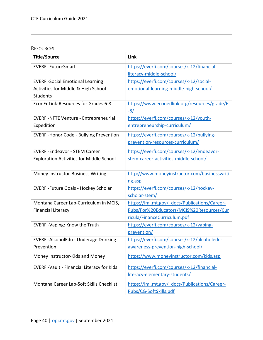<span id="page-40-0"></span>

| <b>Title/Source</b>                               | Link                                          |
|---------------------------------------------------|-----------------------------------------------|
| <b>EVERFI-FutureSmart</b>                         | https://everfi.com/courses/k-12/financial-    |
|                                                   | literacy-middle-school/                       |
| <b>EVERFI-Social Emotional Learning</b>           | https://everfi.com/courses/k-12/social-       |
| Activities for Middle & High School               | emotional-learning-middle-high-school/        |
| <b>Students</b>                                   |                                               |
| EconEdLink-Resources for Grades 6-8               | https://www.econedlink.org/resources/grade/6  |
|                                                   | $-8/$                                         |
| <b>EVERFI-NFTE Venture - Entrepreneurial</b>      | https://everfi.com/courses/k-12/youth-        |
| Expedition                                        | entrepreneurship-curriculum/                  |
| <b>EVERFI-Honor Code - Bullying Prevention</b>    | https://everfi.com/courses/k-12/bullying-     |
|                                                   | prevention-resources-curriculum/              |
| <b>EVERFI-Endeavor - STEM Career</b>              | https://everfi.com/courses/k-12/endeavor-     |
| <b>Exploration Activities for Middle School</b>   | stem-career-activities-middle-school/         |
|                                                   |                                               |
| Money Instructor-Business Writing                 | http://www.moneyinstructor.com/businesswriti  |
|                                                   | ng.asp                                        |
| <b>EVERFI-Future Goals - Hockey Scholar</b>       | https://everfi.com/courses/k-12/hockey-       |
|                                                   | scholar-stem/                                 |
| Montana Career Lab-Curriculum in MCIS,            | https://lmi.mt.gov/ docs/Publications/Career- |
| <b>Financial Literacy</b>                         | Pubs/For%20Educators/MCIS%20Resources/Cur     |
|                                                   | ricula/FinanceCurriculum.pdf                  |
| <b>EVERFI-Vaping: Know the Truth</b>              | https://everfi.com/courses/k-12/vaping-       |
|                                                   | prevention/                                   |
| EVERFI-AlcoholEdu - Underage Drinking             | https://everfi.com/courses/k-12/alcoholedu-   |
| Prevention                                        | awareness-prevention-high-school/             |
| Money Instructor-Kids and Money                   | https://www.moneyinstructor.com/kids.asp      |
| <b>EVERFI-Vault - Financial Literacy for Kids</b> | https://everfi.com/courses/k-12/financial-    |
|                                                   | literacy-elementary-students/                 |
| Montana Career Lab-Soft Skills Checklist          | https://lmi.mt.gov/ docs/Publications/Career- |
|                                                   | Pubs/CG-SoftSkills.pdf                        |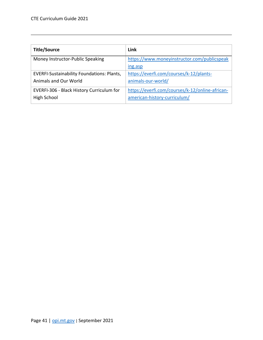| <b>Title/Source</b>                               | Link                                            |
|---------------------------------------------------|-------------------------------------------------|
| Money Instructor-Public Speaking                  | https://www.moneyinstructor.com/publicspeak     |
|                                                   | ing.asp                                         |
| <b>EVERFI-Sustainability Foundations: Plants,</b> | https://everfi.com/courses/k-12/plants-         |
| Animals and Our World                             | animals-our-world/                              |
| EVERFI-306 - Black History Curriculum for         | https://everfi.com/courses/k-12/online-african- |
| High School                                       | american-history-curriculum/                    |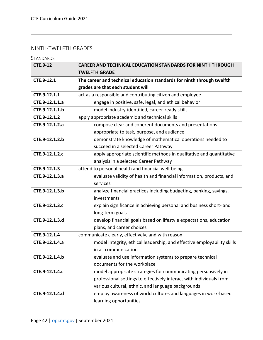# <span id="page-42-0"></span>NINTH-TWELFTH GRADES

<span id="page-42-1"></span>**STANDARDS** 

| <b>CTE.9-12</b> | <b>CAREER AND TECHNICAL EDUCATION STANDARDS FOR NINTH THROUGH</b>       |
|-----------------|-------------------------------------------------------------------------|
|                 | <b>TWELFTH GRADE</b>                                                    |
| CTE.9-12.1      | The career and technical education standards for ninth through twelfth  |
|                 | grades are that each student will                                       |
| CTE.9-12.1.1    | act as a responsible and contributing citizen and employee              |
| CTE.9-12.1.1.a  | engage in positive, safe, legal, and ethical behavior                   |
| CTE.9-12.1.1.b  | model industry-identified, career-ready skills                          |
| CTE.9-12.1.2    | apply appropriate academic and technical skills                         |
| CTE.9-12.1.2.a  | compose clear and coherent documents and presentations                  |
|                 | appropriate to task, purpose, and audience                              |
| CTE.9-12.1.2.b  | demonstrate knowledge of mathematical operations needed to              |
|                 | succeed in a selected Career Pathway                                    |
| CTE.9-12.1.2.c  | apply appropriate scientific methods in qualitative and quantitative    |
|                 | analysis in a selected Career Pathway                                   |
| CTE.9-12.1.3    | attend to personal health and financial well-being                      |
| CTE.9-12.1.3.a  | evaluate validity of health and financial information, products, and    |
|                 | services                                                                |
| CTE.9-12.1.3.b  | analyze financial practices including budgeting, banking, savings,      |
|                 | investments                                                             |
| CTE.9-12.1.3.c  | explain significance in achieving personal and business short- and      |
|                 | long-term goals                                                         |
| CTE.9-12.1.3.d  | develop financial goals based on lifestyle expectations, education      |
|                 | plans, and career choices                                               |
| CTE.9-12.1.4    | communicate clearly, effectively, and with reason                       |
| CTE.9-12.1.4.a  | model integrity, ethical leadership, and effective employability skills |
|                 | in all communication                                                    |
| CTE.9-12.1.4.b  | evaluate and use information systems to prepare technical               |
|                 | documents for the workplace                                             |
| CTE.9-12.1.4.c  | model appropriate strategies for communicating persuasively in          |
|                 | professional settings to effectively interact with individuals from     |
|                 | various cultural, ethnic, and language backgrounds                      |
| CTE.9-12.1.4.d  | employ awareness of world cultures and languages in work-based          |
|                 | learning opportunities                                                  |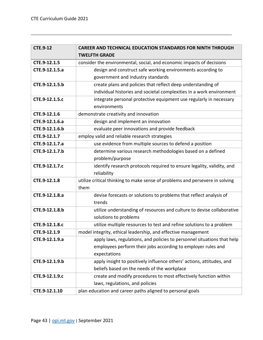| <b>CTE.9-12</b> | <b>CAREER AND TECHNICAL EDUCATION STANDARDS FOR NINTH THROUGH</b>            |  |
|-----------------|------------------------------------------------------------------------------|--|
|                 | <b>TWELFTH GRADE</b>                                                         |  |
| CTE.9-12.1.5    | consider the environmental, social, and economic impacts of decisions        |  |
| CTE.9-12.1.5.a  | design and construct safe working environments according to                  |  |
|                 | government and industry standards                                            |  |
| CTE.9-12.1.5.b  | create plans and policies that reflect deep understanding of                 |  |
|                 | individual histories and societal complexities in a work environment         |  |
| CTE.9-12.1.5.c  | integrate personal protective equipment use regularly in necessary           |  |
|                 | environments                                                                 |  |
| CTE.9-12.1.6    | demonstrate creativity and innovation                                        |  |
| CTE.9-12.1.6.a  | design and implement an innovation                                           |  |
| CTE.9-12.1.6.b  | evaluate peer innovations and provide feedback                               |  |
| CTE.9-12.1.7    | employ valid and reliable research strategies                                |  |
| CTE.9-12.1.7.a  | use evidence from multiple sources to defend a position                      |  |
| CTE.9-12.1.7.b  | determine various research methodologies based on a defined                  |  |
|                 | problem/purpose                                                              |  |
| CTE.9-12.1.7.c  | identify research protocols required to ensure legality, validity, and       |  |
|                 | reliability                                                                  |  |
| CTE.9-12.1.8    | utilize critical thinking to make sense of problems and persevere in solving |  |
|                 | them                                                                         |  |
| CTE.9-12.1.8.a  | devise forecasts or solutions to problems that reflect analysis of           |  |
|                 | trends                                                                       |  |
| CTE.9-12.1.8.b  | utilize understanding of resources and culture to devise collaborative       |  |
|                 | solutions to problems                                                        |  |
| CTE.9-12.1.8.c  | utilize multiple resources to test and refine solutions to a problem         |  |
| CTE.9-12.1.9    | model integrity, ethical leadership, and effective management                |  |
| CTE.9-12.1.9.a  | apply laws, regulations, and policies to personnel situations that help      |  |
|                 | employees perform their jobs according to employer rules and                 |  |
|                 | expectations                                                                 |  |
| CTE.9-12.1.9.b  | apply insight to positively influence others' actions, attitudes, and        |  |
|                 | beliefs based on the needs of the workplace                                  |  |
| CTE.9-12.1.9.c  | create and modify procedures to most effectively function within             |  |
|                 | laws, regulations, and policies                                              |  |
| CTE.9-12.1.10   | plan education and career paths aligned to personal goals                    |  |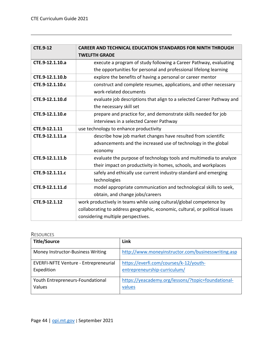| <b>CTE.9-12</b> | <b>CAREER AND TECHNICAL EDUCATION STANDARDS FOR NINTH THROUGH</b>            |  |
|-----------------|------------------------------------------------------------------------------|--|
|                 | <b>TWELFTH GRADE</b>                                                         |  |
| CTE.9-12.1.10.a | execute a program of study following a Career Pathway, evaluating            |  |
|                 | the opportunities for personal and professional lifelong learning            |  |
| CTE.9-12.1.10.b | explore the benefits of having a personal or career mentor                   |  |
| CTE.9-12.1.10.c | construct and complete resumes, applications, and other necessary            |  |
|                 | work-related documents                                                       |  |
| CTE.9-12.1.10.d | evaluate job descriptions that align to a selected Career Pathway and        |  |
|                 | the necessary skill set                                                      |  |
| CTE.9-12.1.10.e | prepare and practice for, and demonstrate skills needed for job              |  |
|                 | interviews in a selected Career Pathway                                      |  |
| CTE.9-12.1.11   | use technology to enhance productivity                                       |  |
| CTE.9-12.1.11.a | describe how job market changes have resulted from scientific                |  |
|                 | advancements and the increased use of technology in the global               |  |
|                 | economy                                                                      |  |
| CTE.9-12.1.11.b | evaluate the purpose of technology tools and multimedia to analyze           |  |
|                 | their impact on productivity in homes, schools, and workplaces               |  |
| CTE.9-12.1.11.c | safely and ethically use current industry-standard and emerging              |  |
|                 | technologies                                                                 |  |
| CTE.9-12.1.11.d | model appropriate communication and technological skills to seek,            |  |
|                 | obtain, and change jobs/careers                                              |  |
| CTE.9-12.1.12   | work productively in teams while using cultural/global competence by         |  |
|                 | collaborating to address geographic, economic, cultural, or political issues |  |
|                 | considering multiple perspectives.                                           |  |

<span id="page-44-0"></span>

| <b>Title/Source</b>                          | Link                                               |
|----------------------------------------------|----------------------------------------------------|
| Money Instructor-Business Writing            | http://www.moneyinstructor.com/businesswriting.asp |
| <b>EVERFI-NFTE Venture - Entrepreneurial</b> | https://everfi.com/courses/k-12/youth-             |
| Expedition                                   | entrepreneurship-curriculum/                       |
| Youth Entrepreneurs-Foundational             | https://yeacademy.org/lessons/?topic=foundational- |
| Values                                       | values                                             |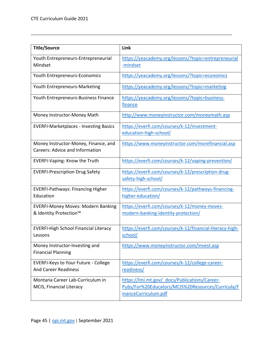| <b>Title/Source</b>                                                            | Link                                                                                                                       |
|--------------------------------------------------------------------------------|----------------------------------------------------------------------------------------------------------------------------|
| Youth Entrepreneurs-Entrepreneurial<br>Mindset                                 | https://yeacademy.org/lessons/?topic=entrepreneurial<br>-mindset                                                           |
| Youth Entrepreneurs-Economics                                                  | https://yeacademy.org/lessons/?topic=economics                                                                             |
| Youth Entrepreneurs-Marketing                                                  | https://yeacademy.org/lessons/?topic=marketing                                                                             |
| Youth Entrepreneurs-Business Finance                                           | https://yeacademy.org/lessons/?topic=business-<br>finance                                                                  |
| Money Instructor-Money Math                                                    | http://www.moneyinstructor.com/moneymath.asp                                                                               |
| <b>EVERFI-Marketplaces - Investing Basics</b>                                  | https://everfi.com/courses/k-12/investment-<br>education-high-school/                                                      |
| Money Instructor-Money, Finance, and<br><b>Careers: Advice and Information</b> | https://www.moneyinstructor.com/morefinancial.asp                                                                          |
| <b>EVERFI-Vaping: Know the Truth</b>                                           | https://everfi.com/courses/k-12/vaping-prevention/                                                                         |
| <b>EVERFI-Prescription Drug Safety</b>                                         | https://everfi.com/courses/k-12/prescription-drug-<br>safety-high-school/                                                  |
| <b>EVERFI-Pathways: Financing Higher</b><br>Education                          | https://everfi.com/courses/k-12/pathways-financing-<br>higher-education/                                                   |
| <b>EVERFI-Money Moves: Modern Banking</b>                                      | https://everfi.com/courses/k-12/money-moves-                                                                               |
| & Identity Protection™                                                         | modern-banking-identity-protection/                                                                                        |
| <b>EVERFI-High School Financial Literacy</b><br>Lessons                        | https://everfi.com/courses/k-12/financial-literacy-high-<br>school/                                                        |
| Money Instructor-Investing and<br><b>Financial Planning</b>                    | https://www.moneyinstructor.com/invest.asp                                                                                 |
| <b>EVERFI-Keys to Your Future - College</b><br><b>And Career Readiness</b>     | https://everfi.com/courses/k-12/college-career-<br>readiness/                                                              |
| Montana Career Lab-Curriculum in<br>MCIS, Financial Literacy                   | https://lmi.mt.gov/ docs/Publications/Career-<br>Pubs/For%20Educators/MCIS%20Resources/Curricula/F<br>inanceCurriculum.pdf |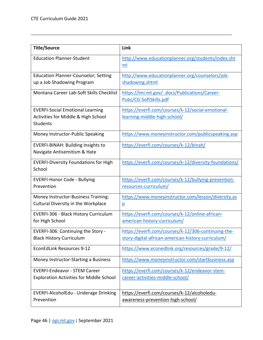| <b>Title/Source</b>                                                                               | Link                                                                                                      |
|---------------------------------------------------------------------------------------------------|-----------------------------------------------------------------------------------------------------------|
| <b>Education Planner-Student</b>                                                                  | http://www.educationplanner.org/students/index.sht<br>ml                                                  |
| <b>Education Planner-Counselor; Setting</b><br>up a Job Shadowing Program                         | http://www.educationplanner.org/counselors/job-<br>shadowing.shtml                                        |
| Montana Career Lab-Soft Skills Checklist                                                          | https://lmi.mt.gov/ docs/Publications/Career-<br>Pubs/CG-SoftSkills.pdf                                   |
| <b>EVERFI-Social Emotional Learning</b><br>Activities for Middle & High School<br><b>Students</b> | https://everfi.com/courses/k-12/social-emotional-<br>learning-middle-high-school/                         |
| Money Instructor-Public Speaking                                                                  | https://www.moneyinstructor.com/publicspeaking.asp                                                        |
| EVERFI-BINAH: Building Insights to<br>Navigate Antisemitism & Hate                                | https://everfi.com/courses/k-12/binah/                                                                    |
| <b>EVERFI-Diversity Foundations for High</b><br>School                                            | https://everfi.com/courses/k-12/diversity-foundations/                                                    |
| <b>EVERFI-Honor Code - Bullying</b><br>Prevention                                                 | https://everfi.com/courses/k-12/bullying-prevention-<br>resources-curriculum/                             |
| Money Instructor-Business Training:<br>Cultural Diversity in the Workplace                        | https://www.moneyinstructor.com/lesson/diversity.as<br>$\overline{p}$                                     |
| EVERFI-306 - Black History Curriculum<br>for High School                                          | https://everfi.com/courses/k-12/online-african-<br>american-history-curriculum/                           |
| EVERFI-306: Continuing the Story -<br><b>Black History Curriculum</b>                             | https://everfi.com/courses/k-12/306-continuing-the-<br>story-digital-african-american-history-curriculum/ |
| <b>EconEdLink Resources 9-12</b>                                                                  | https://www.econedlink.org/resources/grade/9-12/                                                          |
| Money Instructor-Starting a Business                                                              | https://www.moneyinstructor.com/startbusiness.asp                                                         |
| <b>EVERFI-Endeavor - STEM Career</b><br><b>Exploration Activities for Middle School</b>           | https://everfi.com/courses/k-12/endeavor-stem-<br>career-activities-middle-school/                        |
| EVERFI-AlcoholEdu - Underage Drinking<br>Prevention                                               | https://everfi.com/courses/k-12/alcoholedu-<br>awareness-prevention-high-school/                          |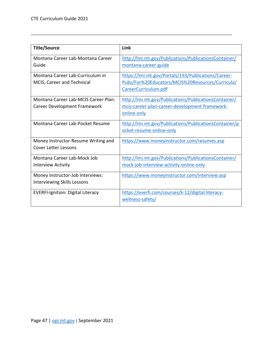| <b>Title/Source</b>                                                    | Link                                                                                                                            |
|------------------------------------------------------------------------|---------------------------------------------------------------------------------------------------------------------------------|
| Montana Career Lab-Montana Career<br>Guide                             | http://lmi.mt.gov/Publications/PublicationsContainer/<br>montana-career-guide                                                   |
| Montana Career Lab-Curriculum in<br>MCIS, Career and Technical         | https://lmi.mt.gov/Portals/193/Publications/Career-<br>Pubs/For%20Educators/MCIS%20Resources/Curricula/<br>CareerCurriculum.pdf |
| Montana Career Lab-MCIS Career Plan:<br>Career Development Framework   | http://lmi.mt.gov/Publications/PublicationsContainer/<br>mcis-career-plan-career-development-framework-<br>online-only          |
| Montana Career Lab-Pocket Resume                                       | http://lmi.mt.gov/Publications/PublicationsContainer/p<br>ocket-resume-online-only                                              |
| Money Instructor-Resume Writing and<br><b>Cover Letter Lessons</b>     | https://www.moneyinstructor.com/resumes.asp                                                                                     |
| Montana Career Lab-Mock Job<br><b>Interview Activity</b>               | http://lmi.mt.gov/Publications/PublicationsContainer/<br>mock-job-interview-activity-online-only                                |
| Money Instructor-Job Interviews:<br><b>Interviewing Skills Lessons</b> | https://www.moneyinstructor.com/interview.asp                                                                                   |
| <b>EVERFI-Ignition: Digital Literacy</b>                               | https://everfi.com/courses/k-12/digital-literacy-<br>wellness-safety/                                                           |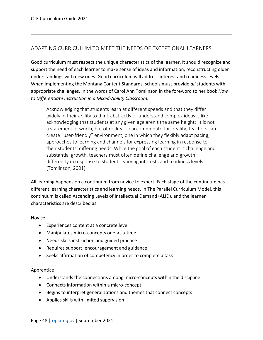# <span id="page-48-0"></span>ADAPTING CURRICULUM TO MEET THE NEEDS OF EXCEPTIONAL LEARNERS

Good curriculum must respect the unique characteristics of the learner. It should recognize and support the need of each learner to make sense of ideas and information, reconstructing older understandings with new ones. Good curriculum will address interest and readiness levels. When implementing the Montana Content Standards, schools must provide *all* students with appropriate challenges. In the words of Carol Ann Tomlinson in the foreword to her book *How to Differentiate Instruction in a Mixed-Ability Classroom,*

Acknowledging that students learn at different speeds and that they differ widely in their ability to think abstractly or understand complex ideas is like acknowledging that students at any given age aren't the same height: It is not a statement of worth, but of reality. To accommodate this reality, teachers can create "user-friendly" environment, one in which they flexibly adapt pacing, approaches to learning and channels for expressing learning in response to their students' differing needs. While the goal of each student is challenge and substantial growth, teachers must often define challenge and growth differently in response to students' varying interests and readiness levels (Tomlinson, 2001).

All learning happens on a continuum from novice to expert. Each stage of the continuum has different learning characteristics and learning needs. In The Parallel Curriculum Model, this continuum is called Ascending Levels of Intellectual Demand (ALID), and the learner characteristics are described as:

#### Novice

- Experiences content at a concrete level
- Manipulates micro-concepts one-at-a-time
- Needs skills instruction and guided practice
- Requires support, encouragement and guidance
- Seeks affirmation of competency in order to complete a task

#### Apprentice

- Understands the connections among micro-concepts within the discipline
- Connects information within a micro-concept
- Begins to interpret generalizations and themes that connect concepts
- Applies skills with limited supervision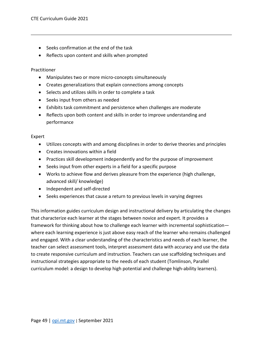- Seeks confirmation at the end of the task
- Reflects upon content and skills when prompted

#### Practitioner

- Manipulates two or more micro-concepts simultaneously
- Creates generalizations that explain connections among concepts
- Selects and utilizes skills in order to complete a task
- Seeks input from others as needed
- Exhibits task commitment and persistence when challenges are moderate
- Reflects upon both content and skills in order to improve understanding and performance

#### Expert

- Utilizes concepts with and among disciplines in order to derive theories and principles
- Creates innovations within a field
- Practices skill development independently and for the purpose of improvement
- Seeks input from other experts in a field for a specific purpose
- Works to achieve flow and derives pleasure from the experience (high challenge, advanced skill/ knowledge)
- Independent and self-directed
- Seeks experiences that cause a return to previous levels in varying degrees

This information guides curriculum design and instructional delivery by articulating the changes that characterize each learner at the stages between novice and expert. It provides a framework for thinking about how to challenge each learner with incremental sophistication where each learning experience is just above easy reach of the learner who remains challenged and engaged. With a clear understanding of the characteristics and needs of each learner, the teacher can select assessment tools, interpret assessment data with accuracy and use the data to create responsive curriculum and instruction. Teachers can use scaffolding techniques and instructional strategies appropriate to the needs of each student (Tomlinson, Parallel curriculum model: a design to develop high potential and challenge high-ability learners).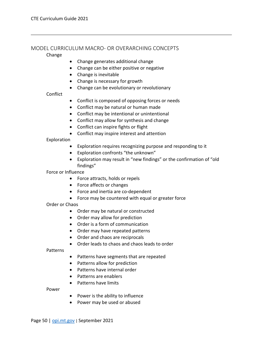#### <span id="page-50-0"></span>MODEL CURRICULUM MACRO- OR OVERARCHING CONCEPTS

#### Change

- Change generates additional change
- Change can be either positive or negative
- Change is inevitable
- Change is necessary for growth
- Change can be evolutionary or revolutionary

Conflict

- Conflict is composed of opposing forces or needs
- Conflict may be natural or human made
- Conflict may be intentional or unintentional
- Conflict may allow for synthesis and change
- Conflict can inspire fights or flight
- Conflict may inspire interest and attention

Exploration

- Exploration requires recognizing purpose and responding to it
- Exploration confronts "the unknown"
- Exploration may result in "new findings" or the confirmation of "old findings"

Force or Influence

- Force attracts, holds or repels
- Force affects or changes
- Force and inertia are co-dependent
- Force may be countered with equal or greater force

Order or Chaos

- Order may be natural or constructed
- Order may allow for prediction
- Order is a form of communication
- Order may have repeated patterns
- Order and chaos are reciprocals
- Order leads to chaos and chaos leads to order

Patterns

- Patterns have segments that are repeated
- Patterns allow for prediction
- Patterns have internal order
- Patterns are enablers
- Patterns have limits

Power

- Power is the ability to influence
- Power may be used or abused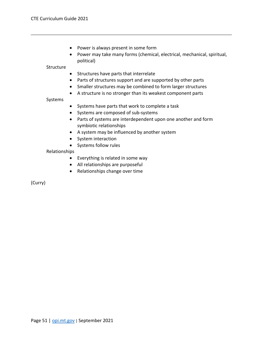- Power is always present in some form
- Power may take many forms (chemical, electrical, mechanical, spiritual, political)

#### **Structure**

- Structures have parts that interrelate
- Parts of structures support and are supported by other parts
- Smaller structures may be combined to form larger structures
- A structure is no stronger than its weakest component parts

#### Systems

- Systems have parts that work to complete a task
- Systems are composed of sub-systems
- Parts of systems are interdependent upon one another and form symbiotic relationships
- A system may be influenced by another system
- System interaction
- Systems follow rules

#### Relationships

- Everything is related in some way
- All relationships are purposeful
- Relationships change over time

(Curry)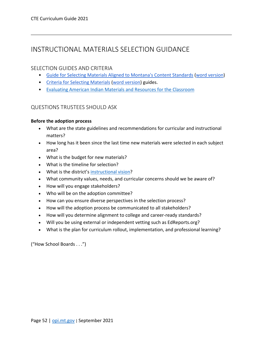# <span id="page-52-0"></span>INSTRUCTIONAL MATERIALS SELECTION GUIDANCE

### <span id="page-52-1"></span>SELECTION GUIDES AND CRITERIA

- [Guide for Selecting Materials Aligned to Montana's Content Standards](http://opi.mt.gov/LinkClick.aspx?fileticket=qvg6oXzPA2M%3d&portalid=182) [\(word version\)](http://opi.mt.gov/LinkClick.aspx?fileticket=xM9MBvFD1zU%3d&portalid=182)
- [Criteria for Selecting Materials](http://opi.mt.gov/LinkClick.aspx?fileticket=R_LFxaPD1hY%3d&portalid=182) [\(word version\)](http://opi.mt.gov/LinkClick.aspx?fileticket=XQd2Ok8LQ5g%3d&portalid=182) guides.
- [Evaluating American Indian Materials and Resources for the Classroom](http://opi.mt.gov/Portals/182/Page%20Files/Indian%20Education/Indian%20Education%20101/Evaluating%20AI%20Materials%20and%20Resources%20for%20the%20Classroom.pdf?ver=2018-01-19-090349-920)

### <span id="page-52-2"></span>QUESTIONS TRUSTEES SHOULD ASK

#### **Before the adoption process**

- What are the state guidelines and recommendations for curricular and instructional matters?
- How long has it been since the last time new materials were selected in each subject area?
- What is the budget for new materials?
- What is the timeline for selection?
- What is the district's [instructional vision?](https://www.edreports.org/resources/article/instructional-vision-statements)
- What community values, needs, and curricular concerns should we be aware of?
- How will you engage stakeholders?
- Who will be on the adoption committee?
- How can you ensure diverse perspectives in the selection process?
- How will the adoption process be communicated to all stakeholders?
- How will you determine alignment to college and career-ready standards?
- Will you be using external or independent vetting such as EdReports.org?
- What is the plan for curriculum rollout, implementation, and professional learning?

("How School Boards . . .")